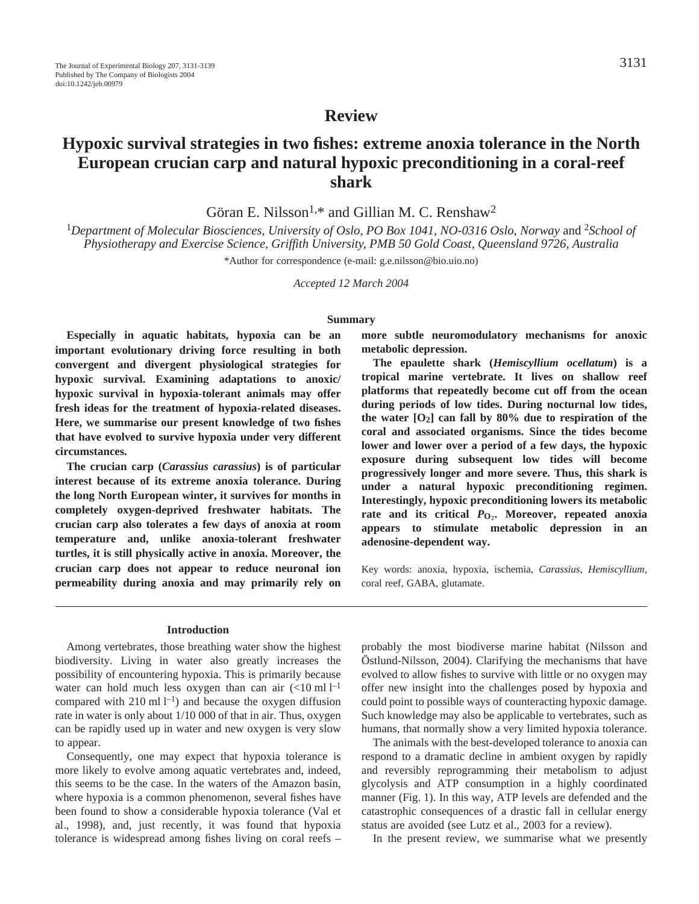# **Review**

# **Hypoxic survival strategies in two fishes: extreme anoxia tolerance in the North European crucian carp and natural hypoxic preconditioning in a coral-reef shark**

Göran E. Nilsson<sup>1,\*</sup> and Gillian M. C. Renshaw<sup>2</sup>

<sup>1</sup>*Department of Molecular Biosciences, University of Oslo, PO Box 1041, NO-0316 Oslo, Norway* and 2*School of Physiotherapy and Exercise Science, Griffith University, PMB 50 Gold Coast, Queensland 9726, Australia*

\*Author for correspondence (e-mail: g.e.nilsson@bio.uio.no)

*Accepted 12 March 2004*

#### **Summary**

**Especially in aquatic habitats, hypoxia can be an important evolutionary driving force resulting in both convergent and divergent physiological strategies for hypoxic survival. Examining adaptations to anoxic/ hypoxic survival in hypoxia-tolerant animals may offer fresh ideas for the treatment of hypoxia-related diseases. Here, we summarise our present knowledge of two fishes that have evolved to survive hypoxia under very different circumstances.**

**The crucian carp (***Carassius carassius***) is of particular interest because of its extreme anoxia tolerance. During the long North European winter, it survives for months in completely oxygen-deprived freshwater habitats. The crucian carp also tolerates a few days of anoxia at room temperature and, unlike anoxia-tolerant freshwater turtles, it is still physically active in anoxia. Moreover, the crucian carp does not appear to reduce neuronal ion permeability during anoxia and may primarily rely on** **more subtle neuromodulatory mechanisms for anoxic metabolic depression.**

**The epaulette shark (***Hemiscyllium ocellatum***) is a tropical marine vertebrate. It lives on shallow reef platforms that repeatedly become cut off from the ocean during periods of low tides. During nocturnal low tides, the water [O2] can fall by 80% due to respiration of the coral and associated organisms. Since the tides become lower and lower over a period of a few days, the hypoxic exposure during subsequent low tides will become progressively longer and more severe. Thus, this shark is under a natural hypoxic preconditioning regimen. Interestingly, hypoxic preconditioning lowers its metabolic rate and its critical** *P***O**∑**. Moreover, repeated anoxia appears to stimulate metabolic depression in an adenosine-dependent way.**

Key words: anoxia, hypoxia, ischemia, *Carassius*, *Hemiscyllium*, coral reef, GABA, glutamate.

#### **Introduction**

Among vertebrates, those breathing water show the highest biodiversity. Living in water also greatly increases the possibility of encountering hypoxia. This is primarily because water can hold much less oxygen than can air  $(<10 \text{ ml } l^{-1})$ compared with  $210$  ml  $l^{-1}$ ) and because the oxygen diffusion rate in water is only about 1/10 000 of that in air. Thus, oxygen can be rapidly used up in water and new oxygen is very slow to appear.

Consequently, one may expect that hypoxia tolerance is more likely to evolve among aquatic vertebrates and, indeed, this seems to be the case. In the waters of the Amazon basin, where hypoxia is a common phenomenon, several fishes have been found to show a considerable hypoxia tolerance (Val et al., 1998), and, just recently, it was found that hypoxia tolerance is widespread among fishes living on coral reefs –

probably the most biodiverse marine habitat (Nilsson and Östlund-Nilsson, 2004). Clarifying the mechanisms that have evolved to allow fishes to survive with little or no oxygen may offer new insight into the challenges posed by hypoxia and could point to possible ways of counteracting hypoxic damage. Such knowledge may also be applicable to vertebrates, such as humans, that normally show a very limited hypoxia tolerance.

The animals with the best-developed tolerance to anoxia can respond to a dramatic decline in ambient oxygen by rapidly and reversibly reprogramming their metabolism to adjust glycolysis and ATP consumption in a highly coordinated manner (Fig. 1). In this way, ATP levels are defended and the catastrophic consequences of a drastic fall in cellular energy status are avoided (see Lutz et al., 2003 for a review).

In the present review, we summarise what we presently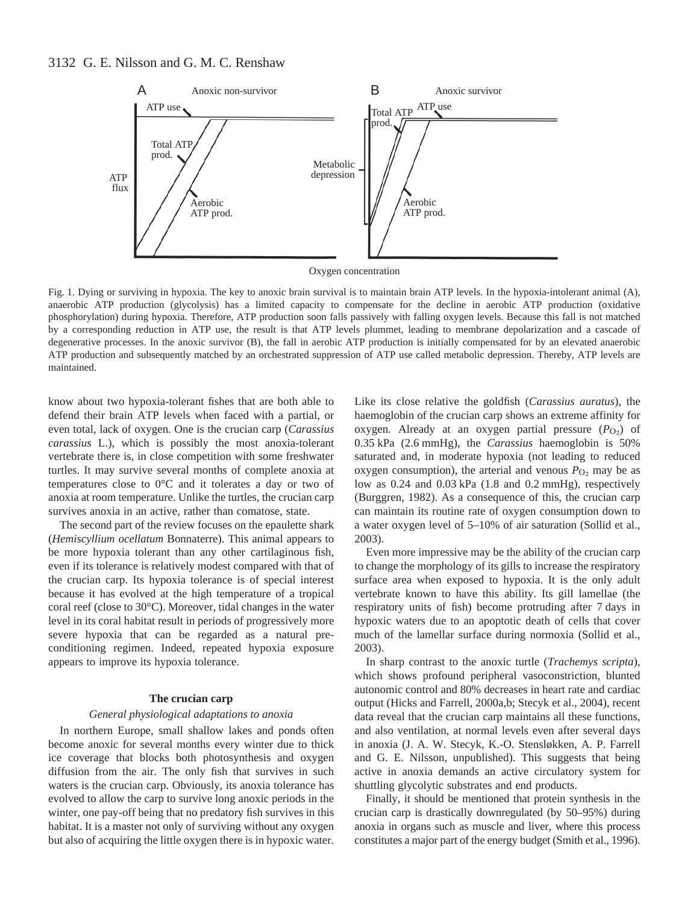## 3132 G. E. Nilsson and G. M. C. Renshaw



Oxygen concentration

Fig. 1. Dying or surviving in hypoxia. The key to anoxic brain survival is to maintain brain ATP levels. In the hypoxia-intolerant animal (A), anaerobic ATP production (glycolysis) has a limited capacity to compensate for the decline in aerobic ATP production (oxidative phosphorylation) during hypoxia. Therefore, ATP production soon falls passively with falling oxygen levels. Because this fall is not matched by a corresponding reduction in ATP use, the result is that ATP levels plummet, leading to membrane depolarization and a cascade of degenerative processes. In the anoxic survivor (B), the fall in aerobic ATP production is initially compensated for by an elevated anaerobic ATP production and subsequently matched by an orchestrated suppression of ATP use called metabolic depression. Thereby, ATP levels are maintained.

know about two hypoxia-tolerant fishes that are both able to defend their brain ATP levels when faced with a partial, or even total, lack of oxygen. One is the crucian carp (*Carassius carassius* L.), which is possibly the most anoxia-tolerant vertebrate there is, in close competition with some freshwater turtles. It may survive several months of complete anoxia at temperatures close to 0°C and it tolerates a day or two of anoxia at room temperature. Unlike the turtles, the crucian carp survives anoxia in an active, rather than comatose, state.

The second part of the review focuses on the epaulette shark (*Hemiscyllium ocellatum* Bonnaterre). This animal appears to be more hypoxia tolerant than any other cartilaginous fish, even if its tolerance is relatively modest compared with that of the crucian carp. Its hypoxia tolerance is of special interest because it has evolved at the high temperature of a tropical coral reef (close to 30°C). Moreover, tidal changes in the water level in its coral habitat result in periods of progressively more severe hypoxia that can be regarded as a natural preconditioning regimen. Indeed, repeated hypoxia exposure appears to improve its hypoxia tolerance.

#### **The crucian carp**

#### *General physiological adaptations to anoxia*

In northern Europe, small shallow lakes and ponds often become anoxic for several months every winter due to thick ice coverage that blocks both photosynthesis and oxygen diffusion from the air. The only fish that survives in such waters is the crucian carp. Obviously, its anoxia tolerance has evolved to allow the carp to survive long anoxic periods in the winter, one pay-off being that no predatory fish survives in this habitat. It is a master not only of surviving without any oxygen but also of acquiring the little oxygen there is in hypoxic water.

Like its close relative the goldfish (*Carassius auratus*), the haemoglobin of the crucian carp shows an extreme affinity for oxygen. Already at an oxygen partial pressure  $(P<sub>O<sub>2</sub></sub>)$  of 0.35·kPa (2.6·mmHg), the *Carassius* haemoglobin is 50% saturated and, in moderate hypoxia (not leading to reduced oxygen consumption), the arterial and venous  $P<sub>O2</sub>$  may be as low as  $0.24$  and  $0.03$  kPa  $(1.8$  and  $0.2$  mmHg), respectively (Burggren, 1982). As a consequence of this, the crucian carp can maintain its routine rate of oxygen consumption down to a water oxygen level of 5–10% of air saturation (Sollid et al., 2003).

Even more impressive may be the ability of the crucian carp to change the morphology of its gills to increase the respiratory surface area when exposed to hypoxia. It is the only adult vertebrate known to have this ability. Its gill lamellae (the respiratory units of fish) become protruding after 7 days in hypoxic waters due to an apoptotic death of cells that cover much of the lamellar surface during normoxia (Sollid et al., 2003).

In sharp contrast to the anoxic turtle (*Trachemys scripta*), which shows profound peripheral vasoconstriction, blunted autonomic control and 80% decreases in heart rate and cardiac output (Hicks and Farrell, 2000a,b; Stecyk et al., 2004), recent data reveal that the crucian carp maintains all these functions, and also ventilation, at normal levels even after several days in anoxia (J. A. W. Stecyk, K.-O. Stensløkken, A. P. Farrell and G. E. Nilsson, unpublished). This suggests that being active in anoxia demands an active circulatory system for shuttling glycolytic substrates and end products.

Finally, it should be mentioned that protein synthesis in the crucian carp is drastically downregulated (by 50–95%) during anoxia in organs such as muscle and liver, where this process constitutes a major part of the energy budget (Smith et al., 1996).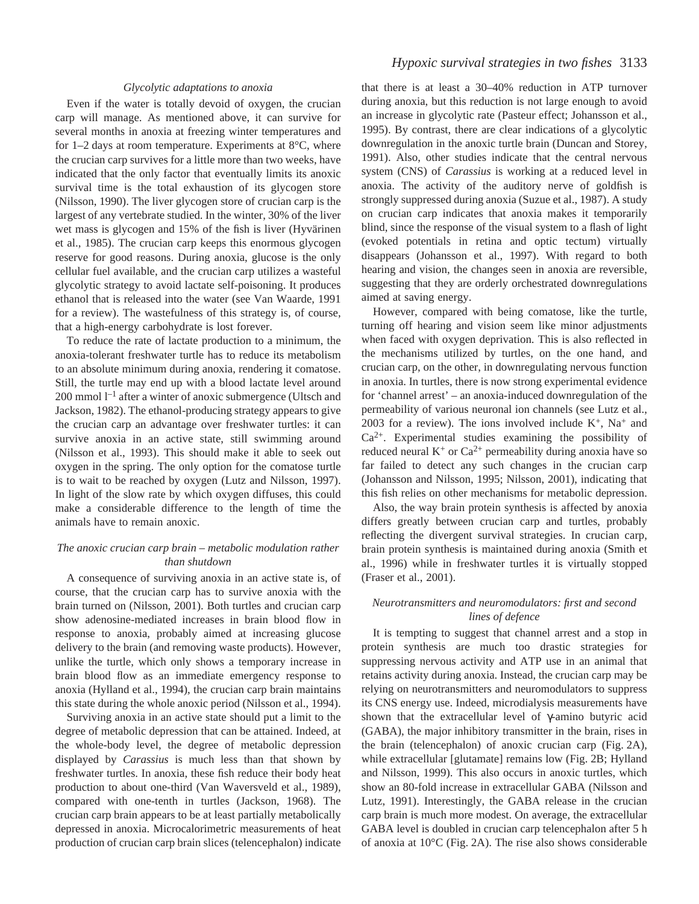#### *Glycolytic adaptations to anoxia*

Even if the water is totally devoid of oxygen, the crucian carp will manage. As mentioned above, it can survive for several months in anoxia at freezing winter temperatures and for 1–2 days at room temperature. Experiments at  $8^{\circ}$ C, where the crucian carp survives for a little more than two weeks, have indicated that the only factor that eventually limits its anoxic survival time is the total exhaustion of its glycogen store (Nilsson, 1990). The liver glycogen store of crucian carp is the largest of any vertebrate studied. In the winter, 30% of the liver wet mass is glycogen and 15% of the fish is liver (Hyvärinen et al., 1985). The crucian carp keeps this enormous glycogen reserve for good reasons. During anoxia, glucose is the only cellular fuel available, and the crucian carp utilizes a wasteful glycolytic strategy to avoid lactate self-poisoning. It produces ethanol that is released into the water (see Van Waarde, 1991 for a review). The wastefulness of this strategy is, of course, that a high-energy carbohydrate is lost forever.

To reduce the rate of lactate production to a minimum, the anoxia-tolerant freshwater turtle has to reduce its metabolism to an absolute minimum during anoxia, rendering it comatose. Still, the turtle may end up with a blood lactate level around 200 mmol  $l<sup>-1</sup>$  after a winter of anoxic submergence (Ultsch and Jackson, 1982). The ethanol-producing strategy appears to give the crucian carp an advantage over freshwater turtles: it can survive anoxia in an active state, still swimming around (Nilsson et al., 1993). This should make it able to seek out oxygen in the spring. The only option for the comatose turtle is to wait to be reached by oxygen (Lutz and Nilsson, 1997). In light of the slow rate by which oxygen diffuses, this could make a considerable difference to the length of time the animals have to remain anoxic.

## *The anoxic crucian carp brain – metabolic modulation rather than shutdown*

A consequence of surviving anoxia in an active state is, of course, that the crucian carp has to survive anoxia with the brain turned on (Nilsson, 2001). Both turtles and crucian carp show adenosine-mediated increases in brain blood flow in response to anoxia, probably aimed at increasing glucose delivery to the brain (and removing waste products). However, unlike the turtle, which only shows a temporary increase in brain blood flow as an immediate emergency response to anoxia (Hylland et al., 1994), the crucian carp brain maintains this state during the whole anoxic period (Nilsson et al., 1994).

Surviving anoxia in an active state should put a limit to the degree of metabolic depression that can be attained. Indeed, at the whole-body level, the degree of metabolic depression displayed by *Carassius* is much less than that shown by freshwater turtles. In anoxia, these fish reduce their body heat production to about one-third (Van Waversveld et al., 1989), compared with one-tenth in turtles (Jackson, 1968). The crucian carp brain appears to be at least partially metabolically depressed in anoxia. Microcalorimetric measurements of heat production of crucian carp brain slices (telencephalon) indicate that there is at least a 30–40% reduction in ATP turnover during anoxia, but this reduction is not large enough to avoid an increase in glycolytic rate (Pasteur effect; Johansson et al., 1995). By contrast, there are clear indications of a glycolytic downregulation in the anoxic turtle brain (Duncan and Storey, 1991). Also, other studies indicate that the central nervous system (CNS) of *Carassius* is working at a reduced level in anoxia. The activity of the auditory nerve of goldfish is strongly suppressed during anoxia (Suzue et al., 1987). A study on crucian carp indicates that anoxia makes it temporarily blind, since the response of the visual system to a flash of light (evoked potentials in retina and optic tectum) virtually disappears (Johansson et al., 1997). With regard to both hearing and vision, the changes seen in anoxia are reversible, suggesting that they are orderly orchestrated downregulations aimed at saving energy.

However, compared with being comatose, like the turtle, turning off hearing and vision seem like minor adjustments when faced with oxygen deprivation. This is also reflected in the mechanisms utilized by turtles, on the one hand, and crucian carp, on the other, in downregulating nervous function in anoxia. In turtles, there is now strong experimental evidence for 'channel arrest' – an anoxia-induced downregulation of the permeability of various neuronal ion channels (see Lutz et al., 2003 for a review). The ions involved include  $K^+$ , Na<sup>+</sup> and  $Ca<sup>2+</sup>$ . Experimental studies examining the possibility of reduced neural  $K^+$  or  $Ca^{2+}$  permeability during anoxia have so far failed to detect any such changes in the crucian carp (Johansson and Nilsson, 1995; Nilsson, 2001), indicating that this fish relies on other mechanisms for metabolic depression.

Also, the way brain protein synthesis is affected by anoxia differs greatly between crucian carp and turtles, probably reflecting the divergent survival strategies. In crucian carp, brain protein synthesis is maintained during anoxia (Smith et al., 1996) while in freshwater turtles it is virtually stopped (Fraser et al., 2001).

## *Neurotransmitters and neuromodulators: first and second lines of defence*

It is tempting to suggest that channel arrest and a stop in protein synthesis are much too drastic strategies for suppressing nervous activity and ATP use in an animal that retains activity during anoxia. Instead, the crucian carp may be relying on neurotransmitters and neuromodulators to suppress its CNS energy use. Indeed, microdialysis measurements have shown that the extracellular level of γ-amino butyric acid (GABA), the major inhibitory transmitter in the brain, rises in the brain (telencephalon) of anoxic crucian carp (Fig. 2A), while extracellular [glutamate] remains low (Fig. 2B; Hylland and Nilsson, 1999). This also occurs in anoxic turtles, which show an 80-fold increase in extracellular GABA (Nilsson and Lutz, 1991). Interestingly, the GABA release in the crucian carp brain is much more modest. On average, the extracellular GABA level is doubled in crucian carp telencephalon after 5 h of anoxia at  $10^{\circ}$ C (Fig. 2A). The rise also shows considerable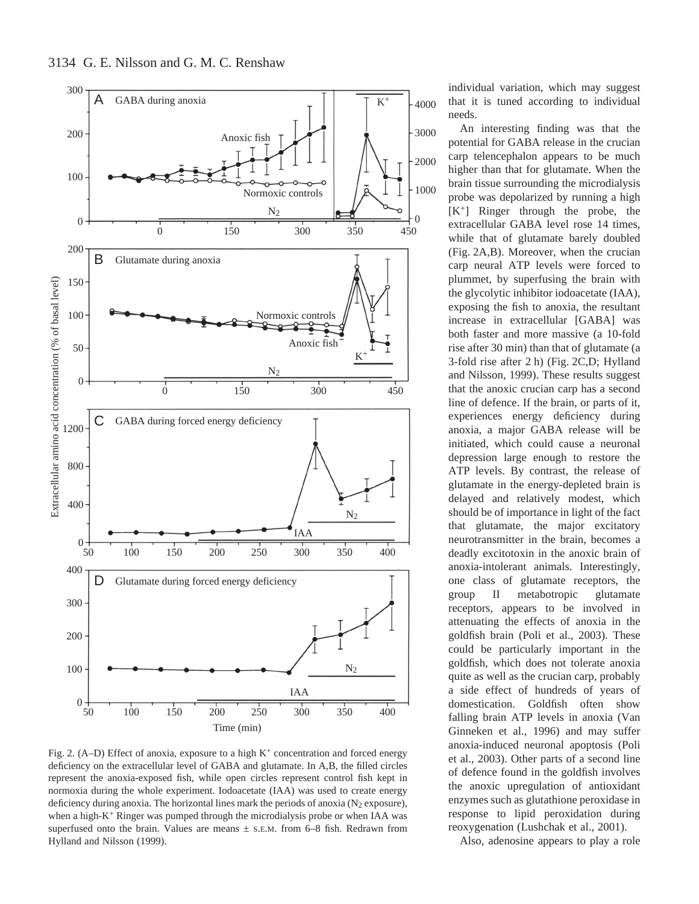

Fig. 2. (A–D) Effect of anoxia, exposure to a high  $K^+$  concentration and forced energy deficiency on the extracellular level of GABA and glutamate. In A,B, the filled circles represent the anoxia-exposed fish, while open circles represent control fish kept in normoxia during the whole experiment. Iodoacetate (IAA) was used to create energy deficiency during anoxia. The horizontal lines mark the periods of anoxia  $(N_2 \text{ exposure})$ , when a high-K<sup>+</sup> Ringer was pumped through the microdialysis probe or when IAA was superfused onto the brain. Values are means  $\pm$  s.E.M. from 6–8 fish. Redrawn from Hylland and Nilsson (1999).

individual variation, which may suggest that it is tuned according to individual needs.

An interesting finding was that the potential for GABA release in the crucian carp telencephalon appears to be much higher than that for glutamate. When the brain tissue surrounding the microdialysis probe was depolarized by running a high  $[K^+]$  Ringer through the probe, the extracellular GABA level rose 14 times, while that of glutamate barely doubled  $(Fig. 2A,B)$ . Moreover, when the crucian carp neural ATP levels were forced to plummet, by superfusing the brain with the glycolytic inhibitor iodoacetate (IAA), exposing the fish to anoxia, the resultant increase in extracellular [GABA] was both faster and more massive (a 10-fold rise after 30 min) than that of glutamate (a 3-fold rise after 2 h) (Fig. 2C,D; Hylland and Nilsson, 1999). These results suggest that the anoxic crucian carp has a second line of defence. If the brain, or parts of it, experiences energy deficiency during anoxia, a major GABA release will be initiated, which could cause a neuronal depression large enough to restore the ATP levels. By contrast, the release of glutamate in the energy-depleted brain is delayed and relatively modest, which should be of importance in light of the fact that glutamate, the major excitatory neurotransmitter in the brain, becomes a deadly excitotoxin in the anoxic brain of anoxia-intolerant animals. Interestingly, one class of glutamate receptors, the group II metabotropic glutamate receptors, appears to be involved in attenuating the effects of anoxia in the goldfish brain (Poli et al., 2003). These could be particularly important in the goldfish, which does not tolerate anoxia quite as well as the crucian carp, probably a side effect of hundreds of years of domestication. Goldfish often show falling brain ATP levels in anoxia (Van Ginneken et al., 1996) and may suffer anoxia-induced neuronal apoptosis (Poli et al., 2003). Other parts of a second line of defence found in the goldfish involves the anoxic upregulation of antioxidant enzymes such as glutathione peroxidase in response to lipid peroxidation during reoxygenation (Lushchak et al., 2001).

Also, adenosine appears to play a role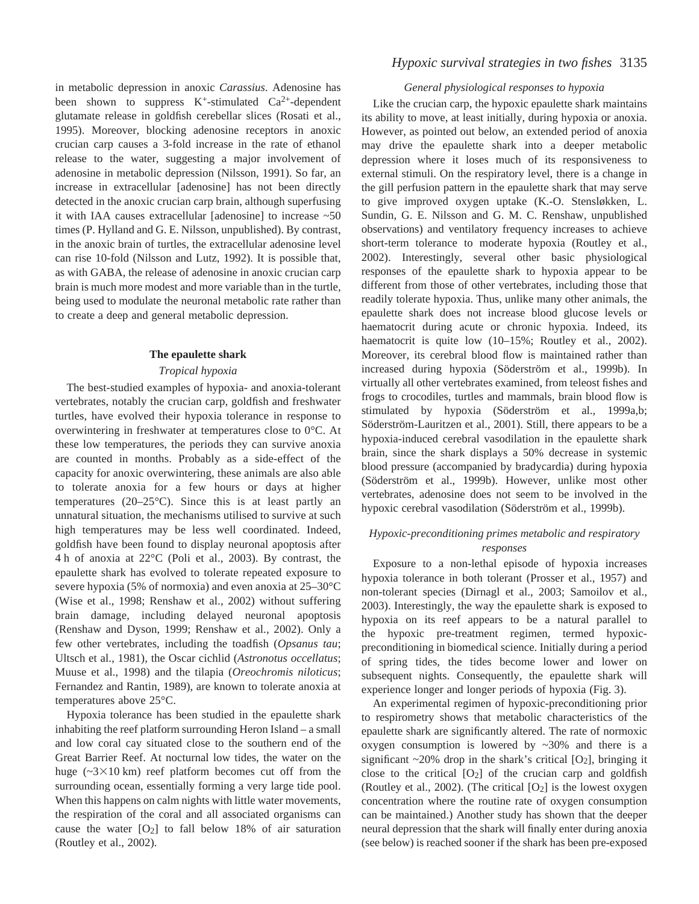in metabolic depression in anoxic *Carassius*. Adenosine has been shown to suppress  $K^+$ -stimulated  $Ca^{2+}$ -dependent glutamate release in goldfish cerebellar slices (Rosati et al., 1995). Moreover, blocking adenosine receptors in anoxic crucian carp causes a 3-fold increase in the rate of ethanol release to the water, suggesting a major involvement of adenosine in metabolic depression (Nilsson, 1991). So far, an increase in extracellular [adenosine] has not been directly detected in the anoxic crucian carp brain, although superfusing it with IAA causes extracellular [adenosine] to increase ~50 times (P. Hylland and G. E. Nilsson, unpublished). By contrast, in the anoxic brain of turtles, the extracellular adenosine level can rise 10-fold (Nilsson and Lutz, 1992). It is possible that, as with GABA, the release of adenosine in anoxic crucian carp brain is much more modest and more variable than in the turtle, being used to modulate the neuronal metabolic rate rather than to create a deep and general metabolic depression.

#### **The epaulette shark**

## *Tropical hypoxia*

The best-studied examples of hypoxia- and anoxia-tolerant vertebrates, notably the crucian carp, goldfish and freshwater turtles, have evolved their hypoxia tolerance in response to overwintering in freshwater at temperatures close to 0°C. At these low temperatures, the periods they can survive anoxia are counted in months. Probably as a side-effect of the capacity for anoxic overwintering, these animals are also able to tolerate anoxia for a few hours or days at higher temperatures (20–25°C). Since this is at least partly an unnatural situation, the mechanisms utilised to survive at such high temperatures may be less well coordinated. Indeed, goldfish have been found to display neuronal apoptosis after 4 h of anoxia at 22°C (Poli et al., 2003). By contrast, the epaulette shark has evolved to tolerate repeated exposure to severe hypoxia (5% of normoxia) and even anoxia at 25–30°C (Wise et al., 1998; Renshaw et al., 2002) without suffering brain damage, including delayed neuronal apoptosis (Renshaw and Dyson, 1999; Renshaw et al., 2002). Only a few other vertebrates, including the toadfish (*Opsanus tau*; Ultsch et al., 1981), the Oscar cichlid (*Astronotus occellatus*; Muuse et al., 1998) and the tilapia (*Oreochromis niloticus*; Fernandez and Rantin, 1989), are known to tolerate anoxia at temperatures above 25°C.

Hypoxia tolerance has been studied in the epaulette shark inhabiting the reef platform surrounding Heron Island – a small and low coral cay situated close to the southern end of the Great Barrier Reef. At nocturnal low tides, the water on the huge  $(\sim 3 \times 10 \text{ km})$  reef platform becomes cut off from the surrounding ocean, essentially forming a very large tide pool. When this happens on calm nights with little water movements, the respiration of the coral and all associated organisms can cause the water  $[O_2]$  to fall below 18% of air saturation (Routley et al., 2002).

## *Hypoxic survival strategies in two fishes* 3135

### *General physiological responses to hypoxia*

Like the crucian carp, the hypoxic epaulette shark maintains its ability to move, at least initially, during hypoxia or anoxia. However, as pointed out below, an extended period of anoxia may drive the epaulette shark into a deeper metabolic depression where it loses much of its responsiveness to external stimuli. On the respiratory level, there is a change in the gill perfusion pattern in the epaulette shark that may serve to give improved oxygen uptake (K.-O. Stensløkken, L. Sundin, G. E. Nilsson and G. M. C. Renshaw, unpublished observations) and ventilatory frequency increases to achieve short-term tolerance to moderate hypoxia (Routley et al., 2002). Interestingly, several other basic physiological responses of the epaulette shark to hypoxia appear to be different from those of other vertebrates, including those that readily tolerate hypoxia. Thus, unlike many other animals, the epaulette shark does not increase blood glucose levels or haematocrit during acute or chronic hypoxia. Indeed, its haematocrit is quite low  $(10-15\%;$  Routley et al., 2002). Moreover, its cerebral blood flow is maintained rather than increased during hypoxia (Söderström et al., 1999b). In virtually all other vertebrates examined, from teleost fishes and frogs to crocodiles, turtles and mammals, brain blood flow is stimulated by hypoxia (Söderström et al., 1999a,b; Söderström-Lauritzen et al., 2001). Still, there appears to be a hypoxia-induced cerebral vasodilation in the epaulette shark brain, since the shark displays a 50% decrease in systemic blood pressure (accompanied by bradycardia) during hypoxia (Söderström et al., 1999b). However, unlike most other vertebrates, adenosine does not seem to be involved in the hypoxic cerebral vasodilation (Söderström et al., 1999b).

## *Hypoxic-preconditioning primes metabolic and respiratory responses*

Exposure to a non-lethal episode of hypoxia increases hypoxia tolerance in both tolerant (Prosser et al., 1957) and non-tolerant species (Dirnagl et al., 2003; Samoilov et al., 2003). Interestingly, the way the epaulette shark is exposed to hypoxia on its reef appears to be a natural parallel to the hypoxic pre-treatment regimen, termed hypoxicpreconditioning in biomedical science. Initially during a period of spring tides, the tides become lower and lower on subsequent nights. Consequently, the epaulette shark will experience longer and longer periods of hypoxia (Fig. 3).

An experimental regimen of hypoxic-preconditioning prior to respirometry shows that metabolic characteristics of the epaulette shark are significantly altered. The rate of normoxic oxygen consumption is lowered by  $\sim$ 30% and there is a significant  $\sim$ 20% drop in the shark's critical [O<sub>2</sub>], bringing it close to the critical  $[O_2]$  of the crucian carp and goldfish (Routley et al., 2002). (The critical  $[O_2]$  is the lowest oxygen concentration where the routine rate of oxygen consumption can be maintained.) Another study has shown that the deeper neural depression that the shark will finally enter during anoxia (see below) is reached sooner if the shark has been pre-exposed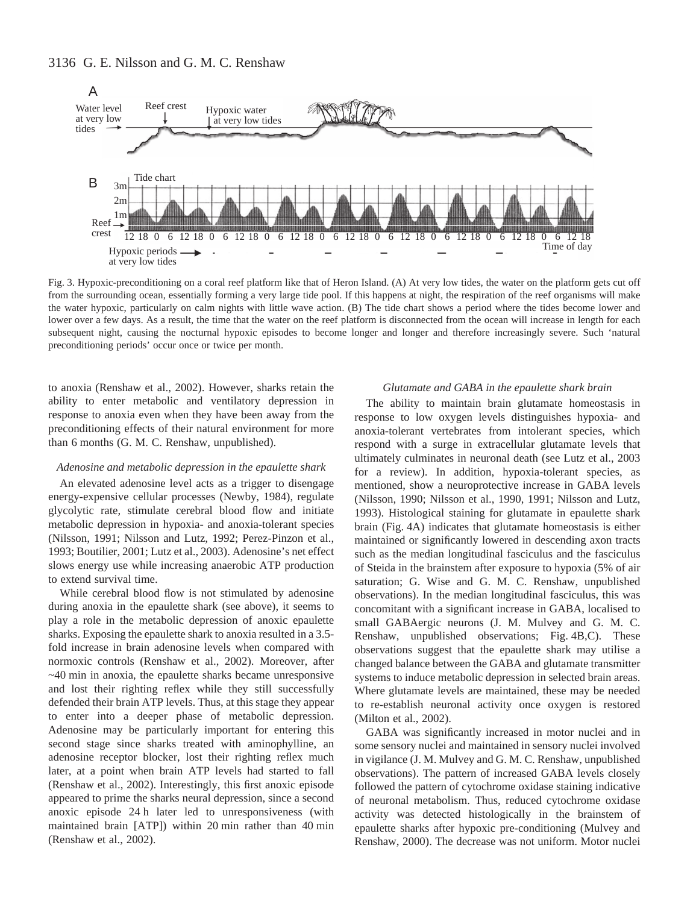

Fig. 3. Hypoxic-preconditioning on a coral reef platform like that of Heron Island. (A) At very low tides, the water on the platform gets cut off from the surrounding ocean, essentially forming a very large tide pool. If this happens at night, the respiration of the reef organisms will make the water hypoxic, particularly on calm nights with little wave action. (B) The tide chart shows a period where the tides become lower and lower over a few days. As a result, the time that the water on the reef platform is disconnected from the ocean will increase in length for each subsequent night, causing the nocturnal hypoxic episodes to become longer and longer and therefore increasingly severe. Such 'natural preconditioning periods' occur once or twice per month.

to anoxia (Renshaw et al., 2002). However, sharks retain the ability to enter metabolic and ventilatory depression in response to anoxia even when they have been away from the preconditioning effects of their natural environment for more than 6 months (G. M. C. Renshaw, unpublished).

#### *Adenosine and metabolic depression in the epaulette shark*

An elevated adenosine level acts as a trigger to disengage energy-expensive cellular processes (Newby, 1984), regulate glycolytic rate, stimulate cerebral blood flow and initiate metabolic depression in hypoxia- and anoxia-tolerant species (Nilsson, 1991; Nilsson and Lutz, 1992; Perez-Pinzon et al., 1993; Boutilier, 2001; Lutz et al., 2003). Adenosine's net effect slows energy use while increasing anaerobic ATP production to extend survival time.

While cerebral blood flow is not stimulated by adenosine during anoxia in the epaulette shark (see above), it seems to play a role in the metabolic depression of anoxic epaulette sharks. Exposing the epaulette shark to anoxia resulted in a 3.5 fold increase in brain adenosine levels when compared with normoxic controls (Renshaw et al., 2002). Moreover, after  $~1$ -40 min in anoxia, the epaulette sharks became unresponsive and lost their righting reflex while they still successfully defended their brain ATP levels. Thus, at this stage they appear to enter into a deeper phase of metabolic depression. Adenosine may be particularly important for entering this second stage since sharks treated with aminophylline, an adenosine receptor blocker, lost their righting reflex much later, at a point when brain ATP levels had started to fall (Renshaw et al., 2002). Interestingly, this first anoxic episode appeared to prime the sharks neural depression, since a second anoxic episode 24 h later led to unresponsiveness (with maintained brain [ATP]) within 20 min rather than 40 min (Renshaw et al., 2002).

#### *Glutamate and GABA in the epaulette shark brain*

The ability to maintain brain glutamate homeostasis in response to low oxygen levels distinguishes hypoxia- and anoxia-tolerant vertebrates from intolerant species, which respond with a surge in extracellular glutamate levels that ultimately culminates in neuronal death (see Lutz et al., 2003 for a review). In addition, hypoxia-tolerant species, as mentioned, show a neuroprotective increase in GABA levels (Nilsson, 1990; Nilsson et al., 1990, 1991; Nilsson and Lutz, 1993). Histological staining for glutamate in epaulette shark brain (Fig. 4A) indicates that glutamate homeostasis is either maintained or significantly lowered in descending axon tracts such as the median longitudinal fasciculus and the fasciculus of Steida in the brainstem after exposure to hypoxia (5% of air saturation; G. Wise and G. M. C. Renshaw, unpublished observations). In the median longitudinal fasciculus, this was concomitant with a significant increase in GABA, localised to small GABAergic neurons (J. M. Mulvey and G. M. C. Renshaw, unpublished observations; Fig. 4B,C). These observations suggest that the epaulette shark may utilise a changed balance between the GABA and glutamate transmitter systems to induce metabolic depression in selected brain areas. Where glutamate levels are maintained, these may be needed to re-establish neuronal activity once oxygen is restored (Milton et al., 2002).

GABA was significantly increased in motor nuclei and in some sensory nuclei and maintained in sensory nuclei involved in vigilance (J. M. Mulvey and G. M. C. Renshaw, unpublished observations). The pattern of increased GABA levels closely followed the pattern of cytochrome oxidase staining indicative of neuronal metabolism. Thus, reduced cytochrome oxidase activity was detected histologically in the brainstem of epaulette sharks after hypoxic pre-conditioning (Mulvey and Renshaw, 2000). The decrease was not uniform. Motor nuclei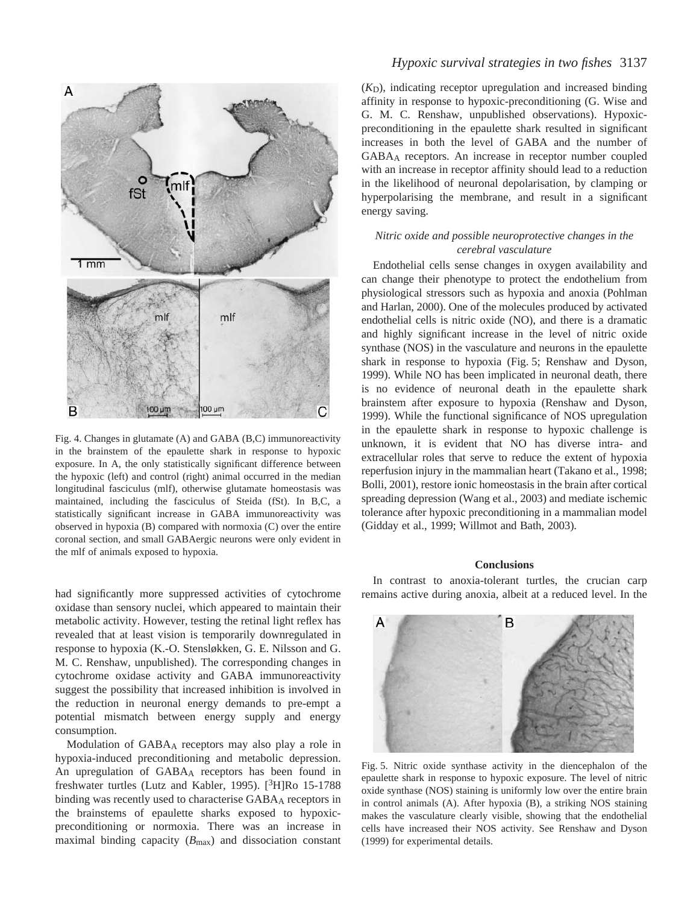

Fig. 4. Changes in glutamate  $(A)$  and GABA  $(B, C)$  immunoreactivity in the brainstem of the epaulette shark in response to hypoxic exposure. In A, the only statistically significant difference between the hypoxic (left) and control (right) animal occurred in the median longitudinal fasciculus (mlf), otherwise glutamate homeostasis was maintained, including the fasciculus of Steida (fSt). In B,C, a statistically significant increase in GABA immunoreactivity was observed in hypoxia (B) compared with normoxia (C) over the entire coronal section, and small GABAergic neurons were only evident in the mlf of animals exposed to hypoxia.

had significantly more suppressed activities of cytochrome oxidase than sensory nuclei, which appeared to maintain their metabolic activity. However, testing the retinal light reflex has revealed that at least vision is temporarily downregulated in response to hypoxia (K.-O. Stensløkken, G. E. Nilsson and G. M. C. Renshaw, unpublished). The corresponding changes in cytochrome oxidase activity and GABA immunoreactivity suggest the possibility that increased inhibition is involved in the reduction in neuronal energy demands to pre-empt a potential mismatch between energy supply and energy consumption.

Modulation of GABAA receptors may also play a role in hypoxia-induced preconditioning and metabolic depression. An upregulation of GABAA receptors has been found in freshwater turtles (Lutz and Kabler, 1995). [3H]Ro 15-1788 binding was recently used to characterise GABAA receptors in the brainstems of epaulette sharks exposed to hypoxicpreconditioning or normoxia. There was an increase in maximal binding capacity  $(B_{\text{max}})$  and dissociation constant

## *Hypoxic survival strategies in two fishes* 3137

(*K*D), indicating receptor upregulation and increased binding affinity in response to hypoxic-preconditioning (G. Wise and G. M. C. Renshaw, unpublished observations). Hypoxicpreconditioning in the epaulette shark resulted in significant increases in both the level of GABA and the number of GABAA receptors. An increase in receptor number coupled with an increase in receptor affinity should lead to a reduction in the likelihood of neuronal depolarisation, by clamping or hyperpolarising the membrane, and result in a significant energy saving.

## *Nitric oxide and possible neuroprotective changes in the cerebral vasculature*

Endothelial cells sense changes in oxygen availability and can change their phenotype to protect the endothelium from physiological stressors such as hypoxia and anoxia (Pohlman and Harlan, 2000). One of the molecules produced by activated endothelial cells is nitric oxide (NO), and there is a dramatic and highly significant increase in the level of nitric oxide synthase (NOS) in the vasculature and neurons in the epaulette shark in response to hypoxia (Fig. 5; Renshaw and Dyson, 1999). While NO has been implicated in neuronal death, there is no evidence of neuronal death in the epaulette shark brainstem after exposure to hypoxia (Renshaw and Dyson, 1999). While the functional significance of NOS upregulation in the epaulette shark in response to hypoxic challenge is unknown, it is evident that NO has diverse intra- and extracellular roles that serve to reduce the extent of hypoxia reperfusion injury in the mammalian heart (Takano et al., 1998; Bolli, 2001), restore ionic homeostasis in the brain after cortical spreading depression (Wang et al., 2003) and mediate ischemic tolerance after hypoxic preconditioning in a mammalian model (Gidday et al., 1999; Willmot and Bath, 2003).

### **Conclusions**

In contrast to anoxia-tolerant turtles, the crucian carp remains active during anoxia, albeit at a reduced level. In the



Fig. 5. Nitric oxide synthase activity in the diencephalon of the epaulette shark in response to hypoxic exposure. The level of nitric oxide synthase (NOS) staining is uniformly low over the entire brain in control animals (A). After hypoxia (B), a striking NOS staining makes the vasculature clearly visible, showing that the endothelial cells have increased their NOS activity. See Renshaw and Dyson (1999) for experimental details.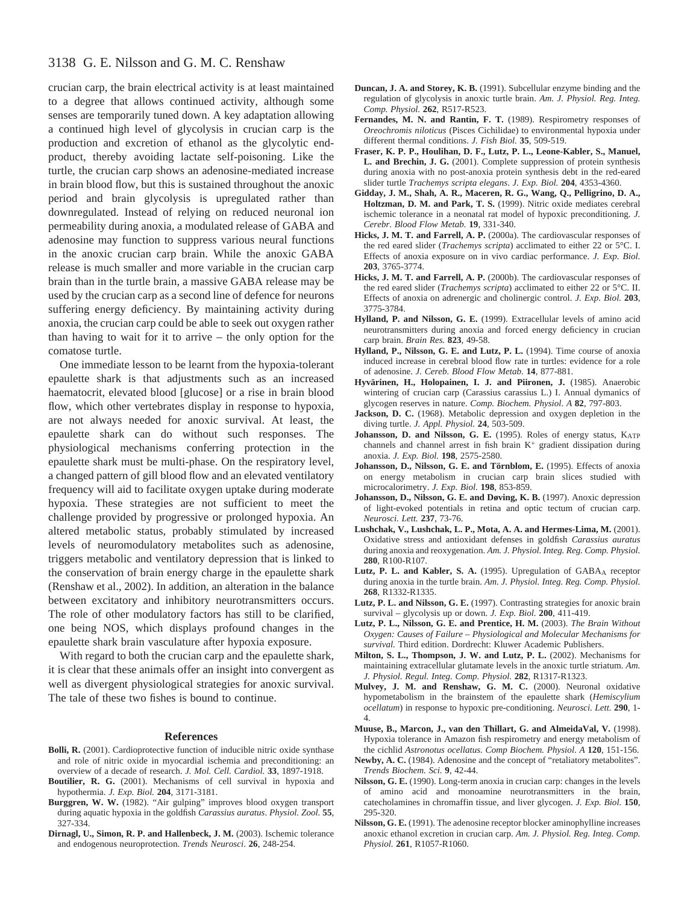## 3138 G. E. Nilsson and G. M. C. Renshaw

crucian carp, the brain electrical activity is at least maintained to a degree that allows continued activity, although some senses are temporarily tuned down. A key adaptation allowing a continued high level of glycolysis in crucian carp is the production and excretion of ethanol as the glycolytic endproduct, thereby avoiding lactate self-poisoning. Like the turtle, the crucian carp shows an adenosine-mediated increase in brain blood flow, but this is sustained throughout the anoxic period and brain glycolysis is upregulated rather than downregulated. Instead of relying on reduced neuronal ion permeability during anoxia, a modulated release of GABA and adenosine may function to suppress various neural functions in the anoxic crucian carp brain. While the anoxic GABA release is much smaller and more variable in the crucian carp brain than in the turtle brain, a massive GABA release may be used by the crucian carp as a second line of defence for neurons suffering energy deficiency. By maintaining activity during anoxia, the crucian carp could be able to seek out oxygen rather than having to wait for it to arrive – the only option for the comatose turtle.

One immediate lesson to be learnt from the hypoxia-tolerant epaulette shark is that adjustments such as an increased haematocrit, elevated blood [glucose] or a rise in brain blood flow, which other vertebrates display in response to hypoxia, are not always needed for anoxic survival. At least, the epaulette shark can do without such responses. The physiological mechanisms conferring protection in the epaulette shark must be multi-phase. On the respiratory level, a changed pattern of gill blood flow and an elevated ventilatory frequency will aid to facilitate oxygen uptake during moderate hypoxia. These strategies are not sufficient to meet the challenge provided by progressive or prolonged hypoxia. An altered metabolic status, probably stimulated by increased levels of neuromodulatory metabolites such as adenosine, triggers metabolic and ventilatory depression that is linked to the conservation of brain energy charge in the epaulette shark (Renshaw et al., 2002). In addition, an alteration in the balance between excitatory and inhibitory neurotransmitters occurs. The role of other modulatory factors has still to be clarified, one being NOS, which displays profound changes in the epaulette shark brain vasculature after hypoxia exposure.

With regard to both the crucian carp and the epaulette shark, it is clear that these animals offer an insight into convergent as well as divergent physiological strategies for anoxic survival. The tale of these two fishes is bound to continue.

#### **References**

- **Bolli, R.** (2001). Cardioprotective function of inducible nitric oxide synthase and role of nitric oxide in myocardial ischemia and preconditioning: an overview of a decade of research. *J. Mol. Cell. Cardiol.* **33**, 1897-1918.
- **Boutilier, R. G.** (2001). Mechanisms of cell survival in hypoxia and hypothermia. *J. Exp. Biol.* **204**, 3171-3181.
- **Burggren, W. W.** (1982). "Air gulping" improves blood oxygen transport during aquatic hypoxia in the goldfish *Carassius auratus*. *Physiol. Zool.* **55**, 327-334.
- **Dirnagl, U., Simon, R. P. and Hallenbeck, J. M.** (2003). Ischemic tolerance and endogenous neuroprotection. *Trends Neurosci*. **26**, 248-254.
- **Duncan, J. A. and Storey, K. B.** (1991). Subcellular enzyme binding and the regulation of glycolysis in anoxic turtle brain. *Am. J. Physiol. Reg. Integ. Comp. Physiol.* **262**, R517-R523.
- Fernandes, M. N. and Rantin, F. T. (1989). Respirometry responses of *Oreochromis niloticus* (Pisces Cichilidae) to environmental hypoxia under different thermal conditions. *J. Fish Biol.* **35**, 509-519.
- **Fraser, K. P. P., Houlihan, D. F., Lutz, P. L., Leone-Kabler, S., Manuel,** L. and Brechin, J. G. (2001). Complete suppression of protein synthesis during anoxia with no post-anoxia protein synthesis debt in the red-eared slider turtle *Trachemys scripta elegans*. *J. Exp. Biol.* **204**, 4353-4360.
- **Gidday, J. M., Shah, A. R., Maceren, R. G., Wang, Q., Pelligrino, D. A., Holtzman, D. M. and Park, T. S.** (1999). Nitric oxide mediates cerebral ischemic tolerance in a neonatal rat model of hypoxic preconditioning. *J. Cerebr. Blood Flow Metab.* **19**, 331-340.
- Hicks, J. M. T. and Farrell, A. P. (2000a). The cardiovascular responses of the red eared slider (*Trachemys scripta*) acclimated to either 22 or 5°C. I. Effects of anoxia exposure on in vivo cardiac performance. *J. Exp. Biol.* **203**, 3765-3774.
- Hicks, J. M. T. and Farrell, A. P. (2000b). The cardiovascular responses of the red eared slider (*Trachemys scripta*) acclimated to either 22 or 5°C. II. Effects of anoxia on adrenergic and cholinergic control. *J. Exp. Biol.* **203**, 3775-3784.
- **Hylland, P. and Nilsson, G. E.** (1999). Extracellular levels of amino acid neurotransmitters during anoxia and forced energy deficiency in crucian carp brain. *Brain Res.* **823**, 49-58.
- Hylland, P., Nilsson, G. E. and Lutz, P. L. (1994). Time course of anoxia induced increase in cerebral blood flow rate in turtles: evidence for a role of adenosine. *J. Cereb. Blood Flow Metab.* **14**, 877-881.
- Hyvärinen, H., Holopainen, I. J. and Piironen, J. (1985). Anaerobic wintering of crucian carp (Carassius carassius L.) I. Annual dymanics of glycogen reserves in nature. *Comp. Biochem. Physiol*. *A* **82**, 797-803.
- **Jackson, D. C.** (1968). Metabolic depression and oxygen depletion in the diving turtle. *J. Appl. Physiol.* **24**, 503-509.
- Johansson, D. and Nilsson, G. E. (1995). Roles of energy status, KATP channels and channel arrest in fish brain K<sup>+</sup> gradient dissipation during anoxia. *J. Exp. Biol.* **198**, 2575-2580.
- Johansson, D., Nilsson, G. E. and Törnblom, E. (1995). Effects of anoxia on energy metabolism in crucian carp brain slices studied with microcalorimetry. *J. Exp. Biol.* **198**, 853-859.
- **Johansson, D., Nilsson, G. E. and Døving, K. B.** (1997). Anoxic depression of light-evoked potentials in retina and optic tectum of crucian carp. *Neurosci. Lett.* **237**, 73-76.
- Lushchak, V., Lushchak, L. P., Mota, A. A. and Hermes-Lima, M. (2001). Oxidative stress and antioxidant defenses in goldfish *Carassius auratus* during anoxia and reoxygenation. *Am. J. Physiol. Integ. Reg. Comp. Physiol.* **280**, R100-R107.
- Lutz, P. L. and Kabler, S. A. (1995). Upregulation of GABA<sub>A</sub> receptor during anoxia in the turtle brain. *Am. J. Physiol. Integ. Reg. Comp. Physiol.* **268**, R1332-R1335.
- Lutz, P. L. and Nilsson, G. E. (1997). Contrasting strategies for anoxic brain survival – glycolysis up or down. *J. Exp. Biol.* **200**, 411-419.
- **Lutz, P. L., Nilsson, G. E. and Prentice, H. M.** (2003). *The Brain Without Oxygen: Causes of Failure – Physiological and Molecular Mechanisms for survival.* Third edition. Dordrecht: Kluwer Academic Publishers.
- **Milton, S. L., Thompson, J. W. and Lutz, P. L.** (2002). Mechanisms for maintaining extracellular glutamate levels in the anoxic turtle striatum. *Am. J. Physiol. Regul. Integ. Comp. Physiol.* **282**, R1317-R1323.
- **Mulvey, J. M. and Renshaw, G. M. C.** (2000). Neuronal oxidative hypometabolism in the brainstem of the epaulette shark (*Hemiscylium ocellatum*) in response to hypoxic pre-conditioning. *Neurosci. Lett.* **290**, 1- 4.
- **Muuse, B., Marcon, J., van den Thillart, G. and AlmeidaVal, V.** (1998). Hypoxia tolerance in Amazon fish respirometry and energy metabolism of the cichlid *Astronotus ocellatus. Comp Biochem. Physiol*. *A* **120**, 151-156.
- **Newby, A. C.** (1984). Adenosine and the concept of "retaliatory metabolites". *Trends Biochem. Sci.* **9**, 42-44.
- **Nilsson, G. E.** (1990). Long-term anoxia in crucian carp: changes in the levels of amino acid and monoamine neurotransmitters in the brain, catecholamines in chromaffin tissue, and liver glycogen. *J. Exp. Biol.* **150**, 295-320.
- **Nilsson, G. E.** (1991). The adenosine receptor blocker aminophylline increases anoxic ethanol excretion in crucian carp. *Am. J. Physiol. Reg. Integ. Comp. Physiol.* **261**, R1057-R1060.